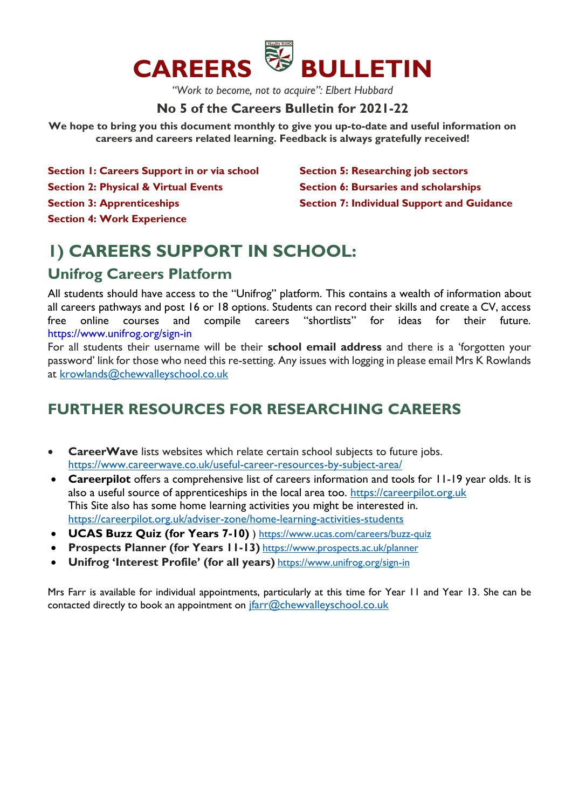

*"Work to become, not to acquire": Elbert Hubbard*

### **No 5 of the Careers Bulletin for 2021-22**

**We hope to bring you this document monthly to give you up-to-date and useful information on careers and careers related learning. Feedback is always gratefully received!**

- **Section 1: Careers Support in or via school Section 2: Physical & Virtual Events**
- 

**Section 3: Apprenticeships** 

**Section 5: Researching job sectors Section 6: Bursaries and scholarships Section 7: Individual Support and Guidance** 

### **Section 4: Work Experience**

# **1) CAREERS SUPPORT IN SCHOOL:**

# **Unifrog Careers Platform**

All students should have access to the "Unifrog" platform. This contains a wealth of information about all careers pathways and post 16 or 18 options. Students can record their skills and create a CV, access free online courses and compile careers "shortlists" for ideas for their future. https://www.unifrog.org/sign-in

For all students their username will be their **school email address** and there is a 'forgotten your password' link for those who need this re-setting. Any issues with logging in please email Mrs K Rowlands at [krowlands@chewvalleyschool.co.uk](mailto:krowlands@chewvalleyschool.co.uk)

# **FURTHER RESOURCES FOR RESEARCHING CAREERS**

- **CareerWave** lists websites which relate certain school subjects to future jobs. <https://www.careerwave.co.uk/useful-career-resources-by-subject-area/>
- **Careerpilot** offers a comprehensive list of careers information and tools for 11-19 year olds. It is also a useful source of apprenticeships in the local area too. [https://careerpilot.org.uk](https://careerpilot.org.uk/) This Site also has some home learning activities you might be interested in. <https://careerpilot.org.uk/adviser-zone/home-learning-activities-students>
- **UCAS Buzz Quiz (for Years 7-10)** )<https://www.ucas.com/careers/buzz-quiz>
- **Prospects Planner (for Years 11-13)** https://www.prospects.ac.uk/planner
- **Unifrog 'Interest Profile' (for all years)** https://www.unifrog.org/sign-in

Mrs Farr is available for individual appointments, particularly at this time for Year 11 and Year 13. She can be contacted directly to book an appointment on  $\frac{f\{array}C}{\text{farr@chewvalleyschool.co.uk}}$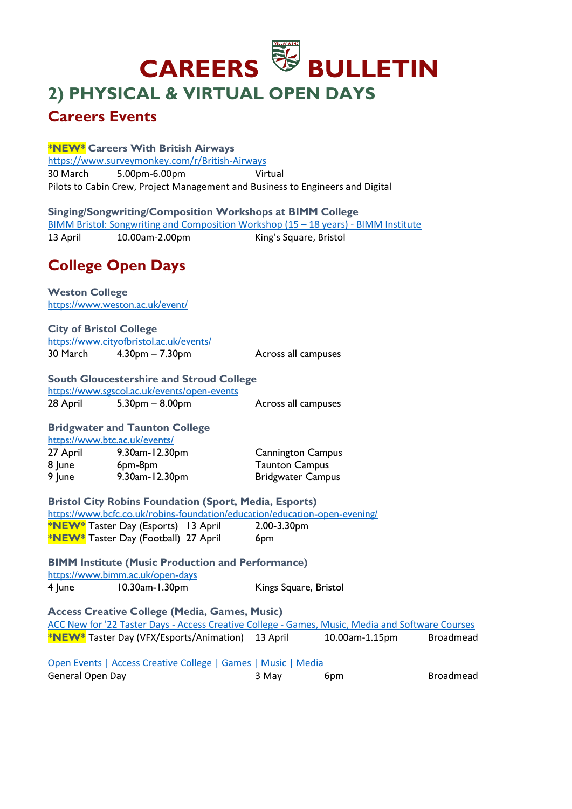# **CAREERS BULLETIN 2) PHYSICAL & VIRTUAL OPEN DAYS**

# **Careers Events**

### **\*NEW\* Careers With British Airways**

<https://www.surveymonkey.com/r/British-Airways> 30 March 5.00pm-6.00pm Virtual Pilots to Cabin Crew, Project Management and Business to Engineers and Digital

**Singing/Songwriting/Composition Workshops at BIMM College**  [BIMM Bristol: Songwriting and Composition Workshop \(15](https://www.bimm.ac.uk/events/bristol-songwriting-and-composition-workshop-13-04-22/) – 18 years) - BIMM Institute 13 April 10.00am-2.00pm King's Square, Bristol

# **College Open Days**

**Weston College**  <https://www.weston.ac.uk/event/>

**City of Bristol College**  <https://www.cityofbristol.ac.uk/events/> 30 March 4.30pm – 7.30pm Across all campuses

**South Gloucestershire and Stroud College**  <https://www.sgscol.ac.uk/events/open-events> 28 April 5.30pm – 8.00pm – Across all campuses

### **Bridgwater and Taunton College**  <https://www.btc.ac.uk/events/>

27 April 9.30am-12.30pm Cannington Campus 8 June 6pm-8pm Taunton Campus 9 June 9.30am-12.30pm Bridgwater Campus

**Bristol City Robins Foundation (Sport, Media, Esports)**  <https://www.bcfc.co.uk/robins-foundation/education/education-open-evening/> **\*NEW\*** Taster Day (Esports) 13 April 2.00-3.30pm **\*NEW\*** Taster Day (Football) 27 April 6pm

**BIMM Institute (Music Production and Performance)**  <https://www.bimm.ac.uk/open-days> 4 June 10.30am-1.30pm Kings Square, Bristol

**Access Creative College (Media, Games, Music)** ACC New for '22 Taster Days - Access Creative College - [Games, Music, Media and Software Courses](https://www.accesscreative.ac.uk/open-events/acc-new-for-22/) **\*NEW\*** Taster Day (VFX/Esports/Animation) 13 April 10.00am-1.15pm Broadmead

[Open Events | Access Creative College | Games | Music | Media](https://www.accesscreative.ac.uk/open-events/) General Open Day **6pm** Broadmead 3 May 6pm 6pm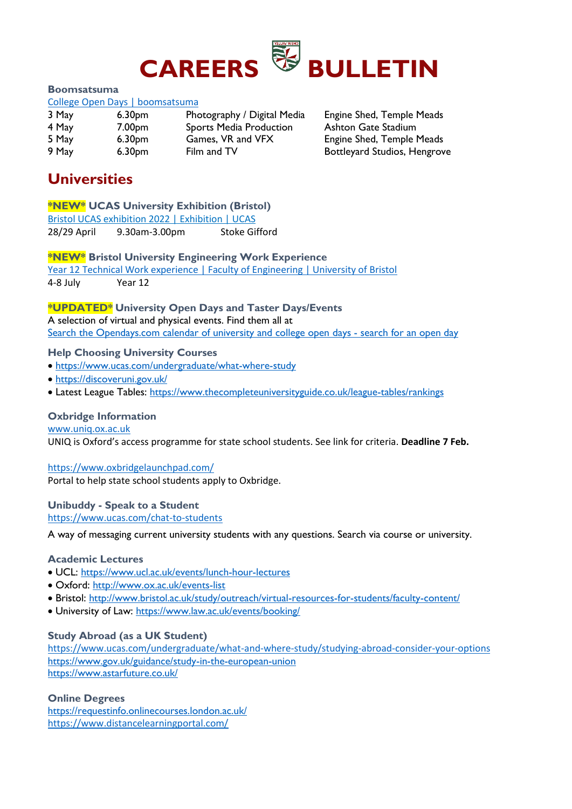

#### **Boomsatsuma**

#### [College Open Days | boomsatsuma](https://www.boomsatsuma.com/collegeopendays)

| 3 May | 6.30 <sub>pm</sub> | Photography / Digital Med      |
|-------|--------------------|--------------------------------|
| 4 May | 7.00 <sub>pm</sub> | <b>Sports Media Production</b> |
| 5 May | 6.30 <sub>pm</sub> | Games, VR and VFX              |
| 9 May | 6.30 <sub>pm</sub> | Film and TV                    |

dia Bart Engine Shed, Temple Meads Ashton Gate Stadium Engine Shed, Temple Meads Bottleyard Studios, Hengrove

# **Universities**

### **\*NEW\* UCAS University Exhibition (Bristol)**

[Bristol UCAS exhibition 2022 | Exhibition | UCAS](https://www.ucas.com/events/bristol-ucas-exhibition-2022-403956)

28/29 April 9.30am-3.00pm Stoke Gifford

**\*NEW\* Bristol University Engineering Work Experience** 

[Year 12 Technical Work experience | Faculty of Engineering | University of Bristol](http://www.bristol.ac.uk/engineering/outreach/technical-work-experience/)

4-8 July Year 12

### **\*UPDATED\* University Open Days and Taster Days/Events**

A selection of virtual and physical events. Find them all at [Search the Opendays.com calendar of university and college open days -](https://www.opendays.com/calendar/) search for an open day

### **Help Choosing University Courses**

- <https://www.ucas.com/undergraduate/what-where-study>
- <https://discoveruni.gov.uk/>
- Latest League Tables:<https://www.thecompleteuniversityguide.co.uk/league-tables/rankings>

### **Oxbridge Information**

[www.uniq.ox.ac.uk](http://www.uniq.ox.ac.uk/)

UNIQ is Oxford's access programme for state school students. See link for criteria. **Deadline 7 Feb.**

### <https://www.oxbridgelaunchpad.com/>

Portal to help state school students apply to Oxbridge.

#### **Unibuddy - Speak to a Student**  <https://www.ucas.com/chat-to-students>

A way of messaging current university students with any questions. Search via course or university.

### **Academic Lectures**

- UCL:<https://www.ucl.ac.uk/events/lunch-hour-lectures>
- Oxford:<http://www.ox.ac.uk/events-list>
- Bristol:<http://www.bristol.ac.uk/study/outreach/virtual-resources-for-students/faculty-content/>
- University of Law:<https://www.law.ac.uk/events/booking/>

### **Study Abroad (as a UK Student)**

https://www.ucas.com/undergraduate/what-and-where-study/studying-abroad-consider-your-options <https://www.gov.uk/guidance/study-in-the-european-union> <https://www.astarfuture.co.uk/>

### **Online Degrees**

<https://requestinfo.onlinecourses.london.ac.uk/> https://www.distancelearningportal.com/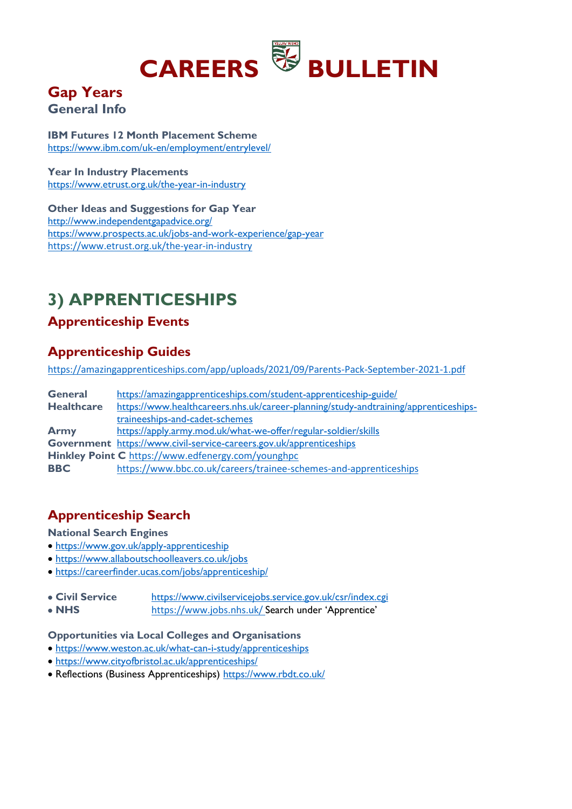

# **Gap Years General Info**

**IBM Futures 12 Month Placement Scheme**  <https://www.ibm.com/uk-en/employment/entrylevel/>

**Year In Industry Placements**  <https://www.etrust.org.uk/the-year-in-industry>

**Other Ideas and Suggestions for Gap Year**  <http://www.independentgapadvice.org/> <https://www.prospects.ac.uk/jobs-and-work-experience/gap-year> https://www.etrust.org.uk/the-year-in-industry

# **3) APPRENTICESHIPS**

# **Apprenticeship Events**

# **Apprenticeship Guides**

https://amazingapprenticeships.com/app/uploads/2021/09/Parents-Pack-September-2021-1.pdf

| <b>General</b>    | https://amazingapprenticeships.com/student-apprenticeship-guide/                    |
|-------------------|-------------------------------------------------------------------------------------|
| <b>Healthcare</b> | https://www.healthcareers.nhs.uk/career-planning/study-andtraining/apprenticeships- |
|                   | traineeships-and-cadet-schemes                                                      |
| <b>Army</b>       | https://apply.army.mod.uk/what-we-offer/regular-soldier/skills                      |
|                   | Government https://www.civil-service-careers.gov.uk/apprenticeships                 |
|                   | <b>Hinkley Point C</b> https://www.edfenergy.com/younghpc                           |
| <b>BBC</b>        | https://www.bbc.co.uk/careers/trainee-schemes-and-apprenticeships                   |

# **Apprenticeship Search**

### **National Search Engines**

- <https://www.gov.uk/apply-apprenticeship>
- <https://www.allaboutschoolleavers.co.uk/jobs>
- <https://careerfinder.ucas.com/jobs/apprenticeship/>
- **Civil Service** <https://www.civilservicejobs.service.gov.uk/csr/index.cgi>
- **NHS** https://www.jobs.nhs.uk/ Search under 'Apprentice'

#### **Opportunities via Local Colleges and Organisations**

- <https://www.weston.ac.uk/what-can-i-study/apprenticeships>
- <https://www.cityofbristol.ac.uk/apprenticeships/>
- Reflections (Business Apprenticeships)<https://www.rbdt.co.uk/>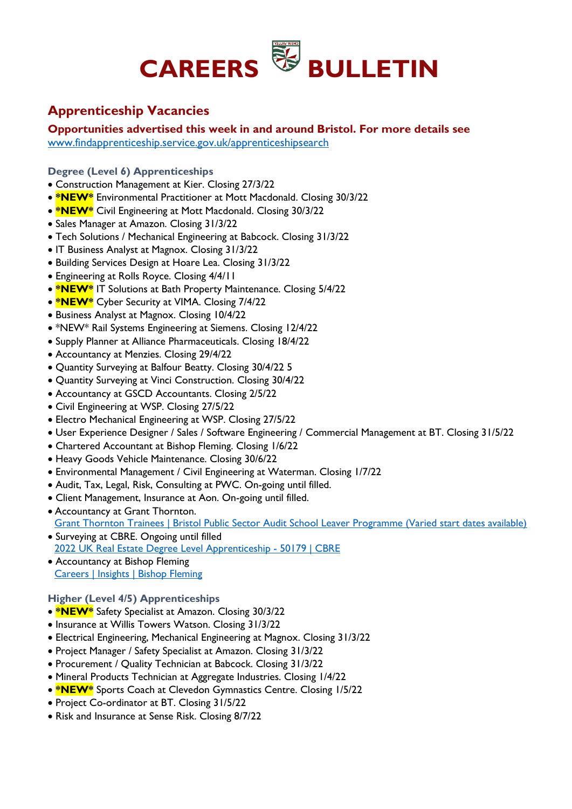

# **Apprenticeship Vacancies**

**Opportunities advertised this week in and around Bristol. For more details see** [www.findapprenticeship.service.gov.uk/apprenticeshipsearch](http://www.findapprenticeship.service.gov.uk/apprenticeshipsearch)

**Degree (Level 6) Apprenticeships**

- Construction Management at Kier. Closing 27/3/22
- **\*NEW\*** Environmental Practitioner at Mott Macdonald. Closing 30/3/22
- **\*NEW\*** Civil Engineering at Mott Macdonald. Closing 30/3/22
- Sales Manager at Amazon. Closing 31/3/22
- Tech Solutions / Mechanical Engineering at Babcock. Closing 31/3/22
- IT Business Analyst at Magnox. Closing 31/3/22
- Building Services Design at Hoare Lea. Closing 31/3/22
- Engineering at Rolls Royce. Closing 4/4/11
- **\*NEW\*** IT Solutions at Bath Property Maintenance. Closing 5/4/22
- **\*NEW\*** Cyber Security at VIMA. Closing 7/4/22
- Business Analyst at Magnox. Closing 10/4/22
- \*NEW\* Rail Systems Engineering at Siemens. Closing 12/4/22
- Supply Planner at Alliance Pharmaceuticals. Closing 18/4/22
- Accountancy at Menzies. Closing 29/4/22
- Quantity Surveying at Balfour Beatty. Closing 30/4/22 5
- Quantity Surveying at Vinci Construction. Closing 30/4/22
- Accountancy at GSCD Accountants. Closing 2/5/22
- Civil Engineering at WSP. Closing 27/5/22
- Electro Mechanical Engineering at WSP. Closing 27/5/22
- User Experience Designer / Sales / Software Engineering / Commercial Management at BT. Closing 31/5/22
- Chartered Accountant at Bishop Fleming. Closing 1/6/22
- Heavy Goods Vehicle Maintenance. Closing 30/6/22
- Environmental Management / Civil Engineering at Waterman. Closing 1/7/22
- Audit, Tax, Legal, Risk, Consulting at PWC. On-going until filled.
- Client Management, Insurance at Aon. On-going until filled.
- Accountancy at Grant Thornton. [Grant Thornton Trainees | Bristol Public Sector Audit School Leaver Programme \(Varied start dates available\)](https://trainees.grantthornton.co.uk/trainee-positions/job-details/?id=job_posting-3-32650&pp=6960)
- Surveying at CBRE. Ongoing until filled [2022 UK Real Estate Degree Level Apprenticeship -](https://careers.cbre.com/en_US/careers/JobDetail/2022-UK-Real-Estate-Degree-Level-Apprenticeship/50179) 50179 | CBRE
- Accountancy at Bishop Fleming [Careers | Insights | Bishop Fleming](https://www.bishopfleming.co.uk/careers)

### **Higher (Level 4/5) Apprenticeships**

- **\*NEW\*** Safety Specialist at Amazon. Closing 30/3/22
- Insurance at Willis Towers Watson. Closing 31/3/22
- Electrical Engineering, Mechanical Engineering at Magnox. Closing 31/3/22
- Project Manager / Safety Specialist at Amazon. Closing 31/3/22
- Procurement / Quality Technician at Babcock. Closing 31/3/22
- Mineral Products Technician at Aggregate Industries. Closing 1/4/22
- **\*NEW\*** Sports Coach at Clevedon Gymnastics Centre. Closing 1/5/22
- Project Co-ordinator at BT. Closing 31/5/22
- Risk and Insurance at Sense Risk. Closing 8/7/22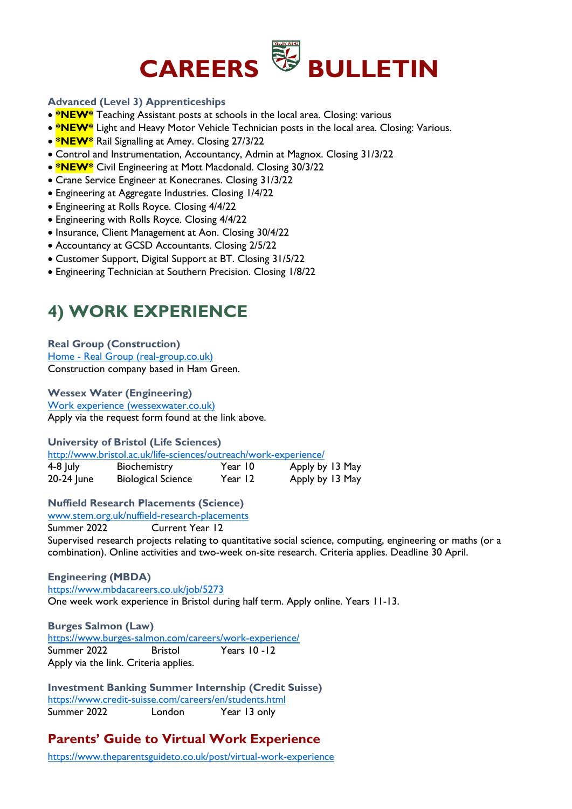

### **Advanced (Level 3) Apprenticeships**

- **\*NEW\*** Teaching Assistant posts at schools in the local area. Closing: various
- **\*NEW<sup>\*</sup>** Light and Heavy Motor Vehicle Technician posts in the local area. Closing: Various.
- **\*NEW\*** Rail Signalling at Amey. Closing 27/3/22
- Control and Instrumentation, Accountancy, Admin at Magnox. Closing 31/3/22
- **\*NEW\*** Civil Engineering at Mott Macdonald. Closing 30/3/22
- Crane Service Engineer at Konecranes. Closing 31/3/22
- Engineering at Aggregate Industries. Closing 1/4/22
- Engineering at Rolls Royce. Closing 4/4/22
- Engineering with Rolls Royce. Closing 4/4/22
- Insurance, Client Management at Aon. Closing 30/4/22
- Accountancy at GCSD Accountants. Closing 2/5/22
- Customer Support, Digital Support at BT. Closing 31/5/22
- Engineering Technician at Southern Precision. Closing 1/8/22

# **4) WORK EXPERIENCE**

**Real Group (Construction)**  Home - [Real Group \(real-group.co.uk\)](https://www.real-group.co.uk/) Construction company based in Ham Green.

#### **Wessex Water (Engineering)**

[Work experience \(wessexwater.co.uk\)](https://www.wessexwater.co.uk/careers/early-careers/work-experience) Apply via the request form found at the link above.

**University of Bristol (Life Sciences)** 

<http://www.bristol.ac.uk/life-sciences/outreach/work-experience/>

| $4-8$ July | Biochemistry              | Year 10 | Apply by 13 May |
|------------|---------------------------|---------|-----------------|
| 20-24 June | <b>Biological Science</b> | Year 12 | Apply by 13 May |

### **Nuffield Research Placements (Science)**

[www.stem.org.uk/nuffield-research-placements](http://www.stem.org.uk/nuffield-research-placements)

Summer 2022 Current Year 12 Supervised research projects relating to quantitative social science, computing, engineering or maths (or a combination). Online activities and two-week on-site research. Criteria applies. Deadline 30 April.

**Engineering (MBDA)**  <https://www.mbdacareers.co.uk/job/5273> One week work experience in Bristol during half term. Apply online. Years 11-13.

**Burges Salmon (Law)**  <https://www.burges-salmon.com/careers/work-experience/> Summer 2022 Bristol Years 10 -12 Apply via the link. Criteria applies.

**Investment Banking Summer Internship (Credit Suisse)**  <https://www.credit-suisse.com/careers/en/students.html> Summer 2022 London Year 13 only

# **Parents' Guide to Virtual Work Experience**

<https://www.theparentsguideto.co.uk/post/virtual-work-experience>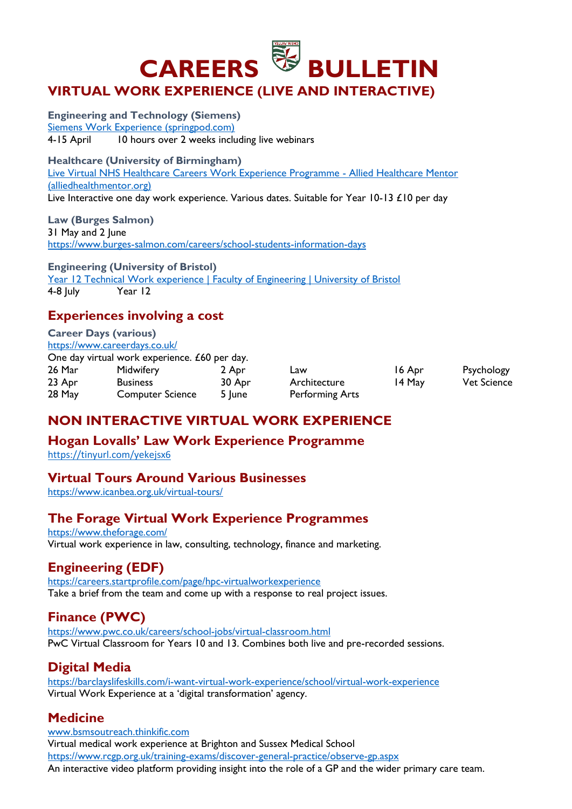

### **Engineering and Technology (Siemens)**  [Siemens Work Experience \(springpod.com\)](https://www.springpod.com/virtual-work-experience/siemens-work-experience?utm_source=ac&utm_medium=email&utm_campaign=vwex&utm_term=siemens_work_experience_newsletter&utm_content=siemens_work_experience_newsletter_26feb22)  4-15 April 10 hours over 2 weeks including live webinars

**Healthcare (University of Birmingham)** 

[Live Virtual NHS Healthcare Careers Work Experience Programme -](https://alliedhealthmentor.org/product/live-virtual-work-experience-programme/) Allied Healthcare Mentor [\(alliedhealthmentor.org\)](https://alliedhealthmentor.org/product/live-virtual-work-experience-programme/) Live Interactive one day work experience. Various dates. Suitable for Year 10-13 £10 per day

### **Law (Burges Salmon)**

31 May and 2 June <https://www.burges-salmon.com/careers/school-students-information-days>

**Engineering (University of Bristol)**  [Year 12 Technical Work experience | Faculty of Engineering | University of Bristol](http://www.bristol.ac.uk/engineering/outreach/technical-work-experience/) 4-8 July Year 12

# **Experiences involving a cost**

# **Career Days (various)**

<https://www.careerdays.co.uk/> One day virtual work experience. £60 per day.

| One day in caar work experience. Eve per day. |                  |        |                 |        |                    |  |  |
|-----------------------------------------------|------------------|--------|-----------------|--------|--------------------|--|--|
| 26 Mar                                        | Midwifery        | 2 Apr  | Law             | 16 Apr | Psychology         |  |  |
| 23 Apr                                        | <b>Business</b>  | 30 Apr | Architecture    | 14 May | <b>Vet Science</b> |  |  |
| 28 May                                        | Computer Science | 5 June | Performing Arts |        |                    |  |  |

# **NON INTERACTIVE VIRTUAL WORK EXPERIENCE**

### **Hogan Lovalls' Law Work Experience Programme**

<https://tinyurl.com/yekejsx6>

### **Virtual Tours Around Various Businesses**

<https://www.icanbea.org.uk/virtual-tours/>

# **The Forage Virtual Work Experience Programmes**

<https://www.theforage.com/> Virtual work experience in law, consulting, technology, finance and marketing.

# **Engineering (EDF)**

<https://careers.startprofile.com/page/hpc-virtualworkexperience> Take a brief from the team and come up with a response to real project issues.

# **Finance (PWC)**

<https://www.pwc.co.uk/careers/school-jobs/virtual-classroom.html> PwC Virtual Classroom for Years 10 and 13. Combines both live and pre-recorded sessions.

# **Digital Media**

<https://barclayslifeskills.com/i-want-virtual-work-experience/school/virtual-work-experience> Virtual Work Experience at a 'digital transformation' agency.

# **Medicine**

[www.bsmsoutreach.thinkific.com](http://www.bsmsoutreach.thinkific.com/) Virtual medical work experience at Brighton and Sussex Medical School <https://www.rcgp.org.uk/training-exams/discover-general-practice/observe-gp.aspx> An interactive video platform providing insight into the role of a GP and the wider primary care team.